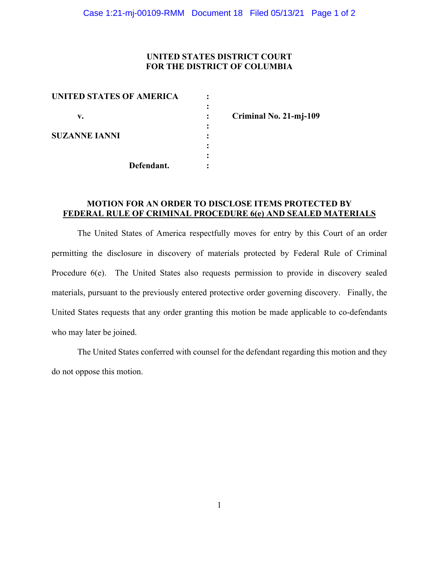### **UNITED STATES DISTRICT COURT FOR THE DISTRICT OF COLUMBIA**

| <b>UNITED STATES OF AMERICA</b> |  |
|---------------------------------|--|
|                                 |  |
| v.                              |  |
|                                 |  |
| <b>SUZANNE IANNI</b>            |  |
|                                 |  |
|                                 |  |
| Defendant.                      |  |

**v. : Criminal No. 21-mj-109**

#### **MOTION FOR AN ORDER TO DISCLOSE ITEMS PROTECTED BY FEDERAL RULE OF CRIMINAL PROCEDURE 6(e) AND SEALED MATERIALS**

The United States of America respectfully moves for entry by this Court of an order permitting the disclosure in discovery of materials protected by Federal Rule of Criminal Procedure 6(e). The United States also requests permission to provide in discovery sealed materials, pursuant to the previously entered protective order governing discovery. Finally, the United States requests that any order granting this motion be made applicable to co-defendants who may later be joined.

The United States conferred with counsel for the defendant regarding this motion and they do not oppose this motion.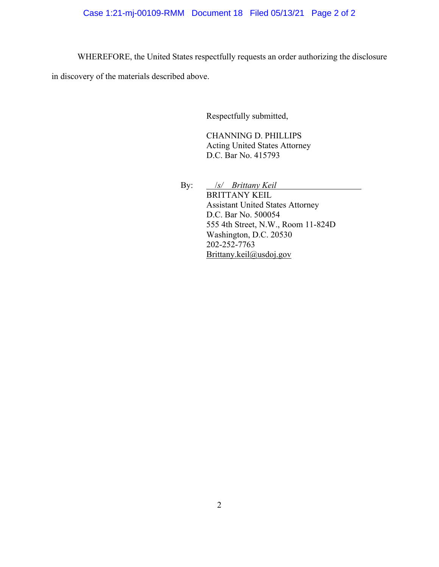## Case 1:21-mj-00109-RMM Document 18 Filed 05/13/21 Page 2 of 2

WHEREFORE, the United States respectfully requests an order authorizing the disclosure

in discovery of the materials described above.

Respectfully submitted,

CHANNING D. PHILLIPS Acting United States Attorney D.C. Bar No. 415793

By: /*s/ Brittany Keil* BRITTANY KEIL Assistant United States Attorney D.C. Bar No. 500054 555 4th Street, N.W., Room 11-824D Washington, D.C. 20530 202-252-7763 Brittany.keil@usdoj.gov